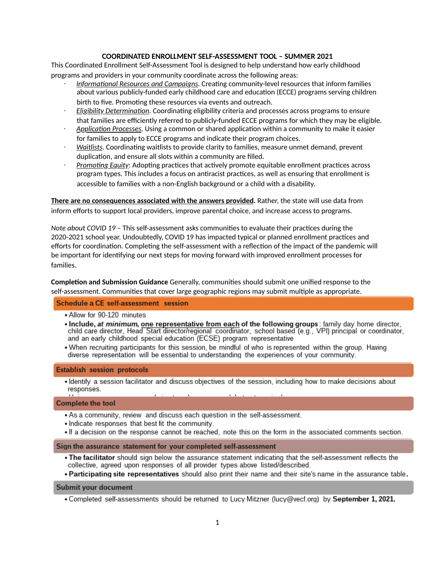#### **COORDINATED ENROLLMENT SELF-ASSESSMENT TOOL – SUMMER 2021**

This Coordinated Enrollment Self-Assessment Tool is designed to help understand how early childhood programs and providers in your community coordinate across the following areas:

- *Informational Resources and Campaigns*. Creating community-level resources that inform families about various publicly-funded early childhood care and education (ECCE) programs serving children birth to five. Promoting these resources via events and outreach.
- *Eligibility Determination.* Coordinating eligibility criteria and processes across programs to ensure that families are efficiently referred to publicly-funded ECCE programs for which they may be eligible.
- Application Processes. Using a common or shared application within a community to make it easier for families to apply to ECCE programs and indicate their program choices.
- **Waitlists. Coordinating waitlists to provide clarity to families, measure unmet demand, prevent** duplication, and ensure all slots within a community are filled.
- *Promoting Equity*: Adopting practices that actively promote equitable enrollment practices across program types. This includes a focus on antiracist practices, as well as ensuring that enrollment is accessible to families with a non-English background or a child with a disability.

**There are no consequences associated with the answers provided.** Rather, the state will use data from inform efforts to support local providers, improve parental choice, and increase access to programs.

*Note about COVID 19 - This self-assessment asks communities to evaluate their practices during the* 2020-2021 school year. Undoubtedly, COVID 19 has impacted typical or planned enrollment practices and efforts for coordination. Completing the self-assessment with a reflection of the impact of the pandemic will be important for identifying our next steps for moving forward with improved enrollment processes for families.

**Completion and Submission Guidance** Generally, communities should submit one unified response to the self-assessment. Communities that cover large geographic regions may submit multiple as appropriate.

### Schedule a CE self-assessment session

- Allow for 90-120 minutes
- Include, at minimum, one representative from each of the following groups: family day home director, child care director, Head Start director/regional coordinator, school based (e.g., VPI) principal or coordinator, and an early childhood special education (ECSE) program representative
- . When recruiting participants for this session, be mindful of who is represented within the group. Having diverse representation will be essential to understanding the experiences of your community.

#### **Establish session protocols**

• Identify a session facilitator and discuss objectives of the session, including how to make decisions about responses.

#### **Complete the tool**

- As a community, review and discuss each question in the self-assessment.
- . Indicate responses that best fit the community.
- If a decision on the response cannot be reached, note this on the form in the associated comments section.

#### Sign the assurance statement for your completed self-assessment

. The facilitator should sign below the assurance statement indicating that the self-assessment reflects the collective, agreed upon responses of all provider types above listed/described.

. Participating site representatives should also print their name and their site's name in the assurance table.

#### **Submit your document**

. Completed self-assessments should be returned to Lucy Mitzner (lucy@vecf.org) by September 1, 2021.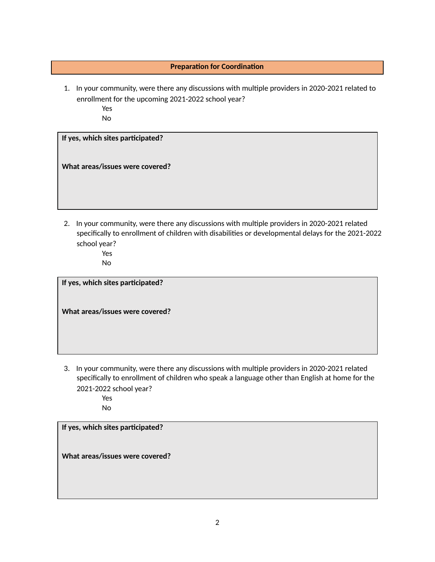## **Preparation for Coordination**

1. In your community, were there any discussions with multiple providers in 2020-2021 related to enrollment for the upcoming 2021-2022 school year?

Yes

No

# **If yes, which sites parcipated?**

**What areas/issues were covered?**

2. In your community, were there any discussions with multiple providers in 2020-2021 related specifically to enrollment of children with disabilities or developmental delays for the 2021-2022 school year?

Yes No

**If yes, which sites parcipated?**

**What areas/issues were covered?**

3. In your community, were there any discussions with multiple providers in 2020-2021 related specifically to enrollment of children who speak a language other than English at home for the 2021-2022 school year? Yes

No

**If yes, which sites parcipated?**

**What areas/issues were covered?**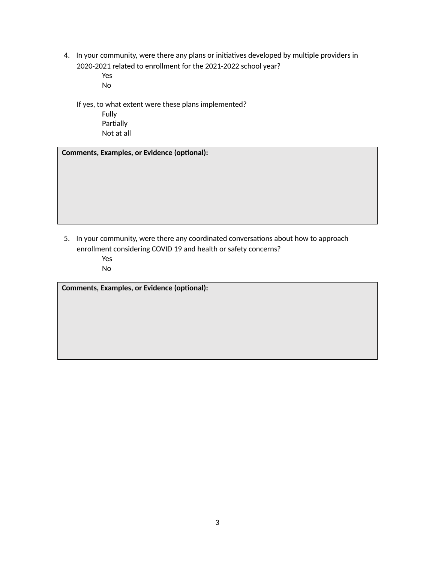4. In your community, were there any plans or initiatives developed by multiple providers in 2020-2021 related to enrollment for the 2021-2022 school year?

> Yes No

If yes, to what extent were these plans implemented? Fully Partially Not at all

 $Comments, Examples, or Evidence (optional):$ 

5. In your community, were there any coordinated conversations about how to approach enrollment considering COVID 19 and health or safety concerns? Yes No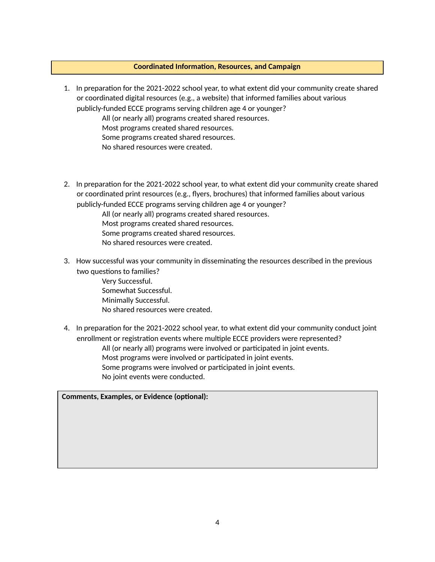#### **Coordinated Information, Resources, and Campaign**

1. In preparation for the 2021-2022 school year, to what extent did your community create shared or coordinated digital resources (e.g., a website) that informed families about various publicly-funded ECCE programs serving children age 4 or younger?

All (or nearly all) programs created shared resources.

Most programs created shared resources.

Some programs created shared resources.

No shared resources were created.

2. In preparation for the 2021-2022 school year, to what extent did your community create shared or coordinated print resources (e.g., flyers, brochures) that informed families about various publicly-funded ECCE programs serving children age 4 or younger?

All (or nearly all) programs created shared resources. Most programs created shared resources. Some programs created shared resources. No shared resources were created.

3. How successful was your community in disseminating the resources described in the previous two questions to families?

> Very Successful. Somewhat Successful. Minimally Successful. No shared resources were created.

4. In preparation for the 2021-2022 school year, to what extent did your community conduct joint enrollment or registration events where multiple ECCE providers were represented? All (or nearly all) programs were involved or participated in joint events.

Most programs were involved or participated in joint events. Some programs were involved or participated in joint events. No joint events were conducted.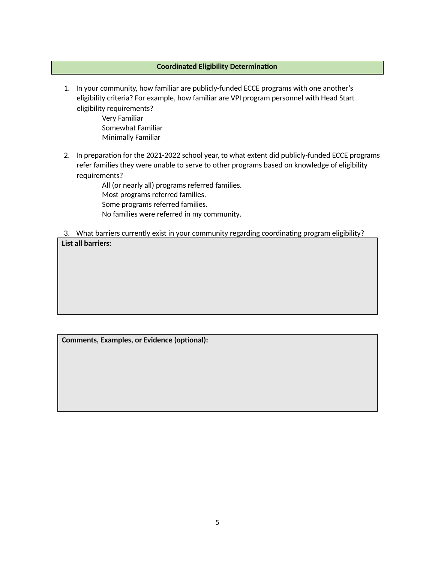### **Coordinated Eligibility Determination**

1. In your community, how familiar are publicly-funded ECCE programs with one another's eligibility criteria? For example, how familiar are VPI program personnel with Head Start eligibility requirements?

> Very Familiar Somewhat Familiar Minimally Familiar

2. In preparation for the 2021-2022 school year, to what extent did publicly-funded ECCE programs refer families they were unable to serve to other programs based on knowledge of eligibility requirements?

> All (or nearly all) programs referred families. Most programs referred families. Some programs referred families. No families were referred in my community.

3. What barriers currently exist in your community regarding coordinating program eligibility? **List all barriers:**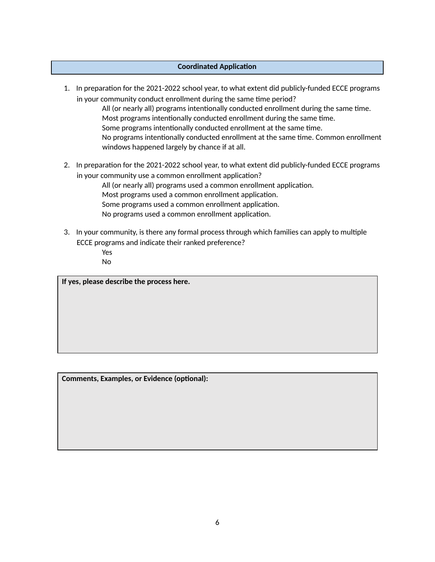### **Coordinated Application**

1. In preparation for the 2021-2022 school year, to what extent did publicly-funded ECCE programs in your community conduct enrollment during the same time period?

All (or nearly all) programs intentionally conducted enrollment during the same time. Most programs intentionally conducted enrollment during the same time. Some programs intentionally conducted enrollment at the same time. No programs intentionally conducted enrollment at the same time. Common enrollment windows happened largely by chance if at all.

2. In preparation for the 2021-2022 school year, to what extent did publicly-funded ECCE programs in your community use a common enrollment application?

> All (or nearly all) programs used a common enrollment application. Most programs used a common enrollment application. Some programs used a common enrollment application. No programs used a common enrollment application.

- 3. In your community, is there any formal process through which families can apply to multiple ECCE programs and indicate their ranked preference?
	- Yes
	- No

**If yes, please describe the process here.**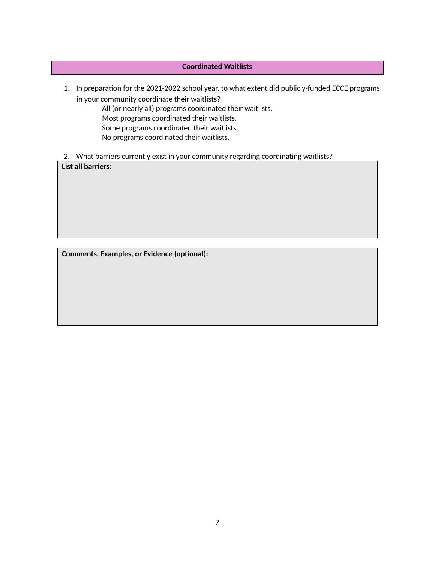# **Coordinated Waitlists**

- 1. In preparation for the 2021-2022 school year, to what extent did publicly-funded ECCE programs in your community coordinate their waitlists? All (or nearly all) programs coordinated their waitlists. Most programs coordinated their waitlists. Some programs coordinated their waitlists. No programs coordinated their waitlists.
- 2. What barriers currently exist in your community regarding coordinating waitlists?

**List all barriers:**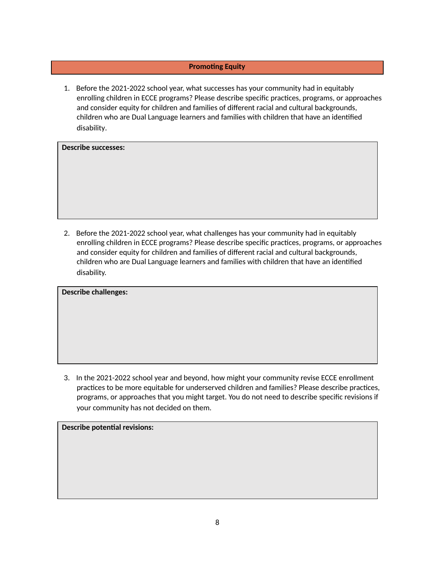## **Promoting Equity**

1. Before the 2021-2022 school year, what successes has your community had in equitably enrolling children in ECCE programs? Please describe specific practices, programs, or approaches and consider equity for children and families of different racial and cultural backgrounds, children who are Dual Language learners and families with children that have an idenfied disability.

**Describe successes:**

2. Before the 2021-2022 school year, what challenges has your community had in equitably enrolling children in ECCE programs? Please describe specific practices, programs, or approaches and consider equity for children and families of different racial and cultural backgrounds, children who are Dual Language learners and families with children that have an idenfied disability.

**Describe challenges:**

3. In the 2021-2022 school year and beyond, how might your community revise ECCE enrollment practices to be more equitable for underserved children and families? Please describe practices, programs, or approaches that you might target. You do not need to describe specific revisions if your community has not decided on them.

**Describe potential revisions:**